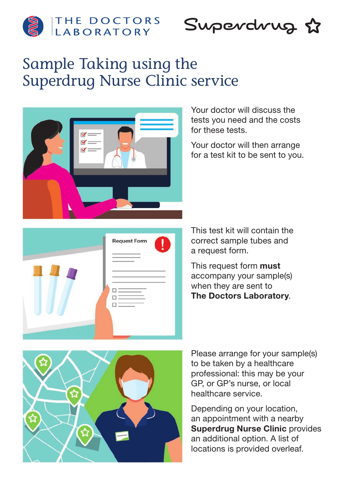

THE DOCTORS

Superdrug &

# Sample Taking using the Superdrug Nurse Clinic service



Your doctor will discuss the tests you need and the costs for these tests.

Your doctor will then arrange for a test kit to be sent to you.

This test kit will contain the correct sample tubes and a request form.

This request form **must** accompany your sample(s) when they are sent to The Doctors Laboratory.



Please arrange for your sample(s) to be taken by a healthcare professional: this may be your GP, or GP's nurse, or local healthcare service.

Depending on your location, an appointment with a nearby Superdrug Nurse Clinic provides an additional option. A list of locations is provided overleaf.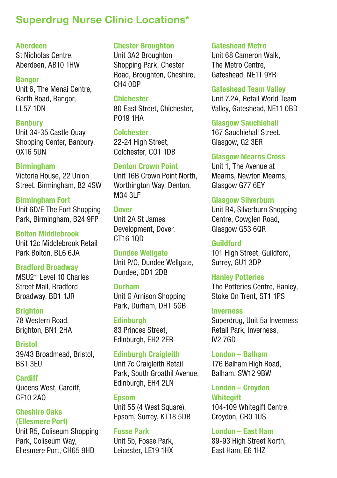## Superdrug Nurse Clinic Locations\*

#### Aberdeen

St Nicholas Centre, Aberdeen, AB10 1HW

Bangor Unit 6, The Menai Centre, Garth Road, Bangor, LL57 1DN

**Banbury** Unit 34-35 Castle Quay Shopping Center, Banbury, OX16 5UN

#### **Birmingham**

Victoria House, 22 Union Street, Birmingham, B2 4SW

Birmingham Fort Unit 6D/E The Fort Shopping Park, Birmingham, B24 9FP

Bolton Middlebrook Unit 12c Middlebrook Retail Park Bolton, BL6 6JA

Bradford Broadway MSU21 Level 10 Charles Street Mall, Bradford Broadway, BD1 1JR

**Brighton** 78 Western Road, Brighton, BN1 2HA

**Rristol** 39/43 Broadmead, Bristol, BS1 3EU

Cardiff Queens West, Cardiff, CF10 2AQ

Cheshire Oaks (Ellesmere Port)

Unit R5, Coliseum Shopping Park, Coliseum Way, Ellesmere Port, CH65 9HD

Chester Broughton

Unit 3A2 Broughton Shopping Park, Chester Road, Broughton, Cheshire, CH4 0DP

Chichester 80 East Street, Chichester, PO19 1HA

Colchester 22-24 High Street. Colchester, CO1 1DB

Denton Crown Point

Unit 16B Crown Point North, Worthington Way, Denton, M34 3LF

**Dover** Unit 2A St James Development, Dover, CT16 1QD

Dundee Wellgate Unit P/Q, Dundee Wellgate, Dundee, DD1 2DB

Durham Unit G Arnison Shopping Park, Durham, DH1 5GB

**Edinburgh** 83 Princes Street, Edinburgh, EH2 2ER

Edinburgh Craigleith Unit 7c Craigleith Retail Park, South Groathil Avenue, Edinburgh, EH4 2LN

Epsom Unit 55 (4 West Square), Epsom, Surrey, KT18 5DB

Fosse Park Unit 5b, Fosse Park, Leicester, LE19 1HX Gateshead Metro

Unit 68 Cameron Walk, The Metro Centre, Gateshead, NE11 9YR

Gateshead Team Valley Unit 7.2A, Retail World Team Valley, Gateshead, NE11 0BD

Glasgow Sauchiehall 167 Sauchiehall Street, Glasgow, G2 3ER

Glasgow Mearns Cross Unit 1, The Avenue at Mearns, Newton Mearns, Glasgow G77 6EY

Glasgow Silverburn Unit B4, Silverburn Shopping Centre, Cowglen Road,

Glasgow G53 6QR Guildford 101 High Street, Guildford,

Surrey, GU1 3DP

Hanley Potteries The Potteries Centre, Hanley, Stoke On Trent, ST1 1PS

Inverness Superdrug, Unit 5a Inverness Retail Park, Inverness, IV2 7GD

London – Balham 176 Balham High Road, Balham, SW12 9BW

London – Croydon **Whitegift** 104-109 Whitegift Centre, Croydon, CR0 1US

London – East Ham 89-93 High Street North, East Ham, E6 1HZ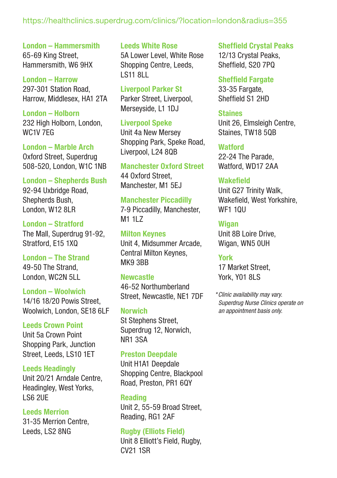#### <https://healthclinics.superdrug.com/clinics/?location=london&radius=355>

London – Hammersmith 65-69 King Street, Hammersmith, W6 9HX

London – Harrow 297-301 Station Road, Harrow, Middlesex, HA1 2TA

London – Holborn 232 High Holborn, London, WC1V 7EG

London – Marble Arch Oxford Street, Superdrug 508-520, London, W1C 1NB

London – Shepherds Bush 92-94 Uxbridge Road, Shepherds Bush, London, W12 8LR

London – Stratford The Mall, Superdrug 91-92, Stratford, E15 1XQ

London – The Strand 49-50 The Strand, London, WC2N 5LL

London – Woolwich 14/16 18/20 Powis Street, Woolwich, London, SE18 6LF

Leeds Crown Point Unit 5a Crown Point Shopping Park, Junction Street, Leeds, LS10 1ET

Leeds Headingly Unit 20/21 Arndale Centre, Headingley, West Yorks, LS6 2UE

Leeds Merrion 31-35 Merrion Centre, Leeds, LS2 8NG

Leeds White Rose 5A Lower Level, White Rose Shopping Centre, Leeds, LS11 8LL

Liverpool Parker St Parker Street, Liverpool, Merseyside, L1 1DJ

Liverpool Speke Unit 4a New Mersey Shopping Park, Speke Road, Liverpool, L24 8QB

Manchester Oxford Street 44 Oxford Street, Manchester, M1 5EJ

Manchester Piccadilly 7-9 Piccadilly, Manchester, M<sub>1</sub> 1l 7

Milton Keynes Unit 4, Midsummer Arcade, Central Milton Keynes, MK9 3BB

**Newcastle** 46-52 Northumberland Street, Newcastle, NE1 7DF

**Norwich** St Stephens Street, Superdrug 12, Norwich, NR1 3SA

Preston Deepdale Unit H1A1 Deepdale Shopping Centre, Blackpool Road, Preston, PR1 6QY

Reading Unit 2, 55-59 Broad Street, Reading, RG1 2AF

Rugby (Elliots Field) Unit 8 Elliott's Field, Rugby, CV21 1SR

Sheffield Crystal Peaks 12/13 Crystal Peaks,

Sheffield, S20 7PQ

Sheffield Fargate 33-35 Fargate, Sheffield S1 2HD

**Staines** Unit 26, Elmsleigh Centre, Staines, TW18 5QB

**Watford** 22-24 The Parade, Watford, WD17 2AA

**Wakefield** Unit G27 Trinity Walk, Wakefield, West Yorkshire, WF1 10U

**Wigan** Unit 8B Loire Drive, Wigan, WN5 0UH

York 17 Market Street, York, Y01 8LS

*Clinic availability may vary. \* Superdrug Nurse Clinics operate on an appointment basis only.*